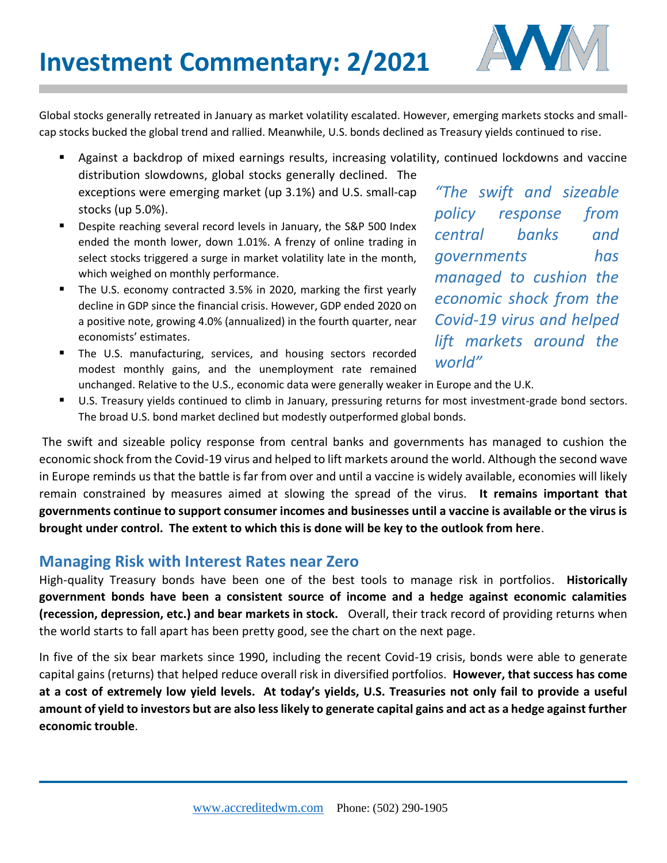

Global stocks generally retreated in January as market volatility escalated. However, emerging markets stocks and smallcap stocks bucked the global trend and rallied. Meanwhile, U.S. bonds declined as Treasury yields continued to rise.

Against a backdrop of mixed earnings results, increasing volatility, continued lockdowns and vaccine

- distribution slowdowns, global stocks generally declined. The exceptions were emerging market (up 3.1%) and U.S. small-cap stocks (up 5.0%).
- Despite reaching several record levels in January, the S&P 500 Index ended the month lower, down 1.01%. A frenzy of online trading in select stocks triggered a surge in market volatility late in the month, which weighed on monthly performance.
- The U.S. economy contracted 3.5% in 2020, marking the first yearly decline in GDP since the financial crisis. However, GDP ended 2020 on a positive note, growing 4.0% (annualized) in the fourth quarter, near economists' estimates.
- **The U.S. manufacturing, services, and housing sectors recorded** modest monthly gains, and the unemployment rate remained

*"The swift and sizeable policy response from central banks and governments has managed to cushion the economic shock from the Covid-19 virus and helped lift markets around the world"* 

- unchanged. Relative to the U.S., economic data were generally weaker in Europe and the U.K.
- U.S. Treasury yields continued to climb in January, pressuring returns for most investment-grade bond sectors. The broad U.S. bond market declined but modestly outperformed global bonds.

The swift and sizeable policy response from central banks and governments has managed to cushion the economic shock from the Covid-19 virus and helped to lift markets around the world. Although the second wave in Europe reminds us that the battle is far from over and until a vaccine is widely available, economies will likely remain constrained by measures aimed at slowing the spread of the virus. **It remains important that governments continue to support consumer incomes and businesses until a vaccine is available or the virus is brought under control. The extent to which this is done will be key to the outlook from here**.

## **Managing Risk with Interest Rates near Zero**

High-quality Treasury bonds have been one of the best tools to manage risk in portfolios. **Historically government bonds have been a consistent source of income and a hedge against economic calamities (recession, depression, etc.) and bear markets in stock.** Overall, their track record of providing returns when the world starts to fall apart has been pretty good, see the chart on the next page.

In five of the six bear markets since 1990, including the recent Covid-19 crisis, bonds were able to generate capital gains (returns) that helped reduce overall risk in diversified portfolios. **However, that success has come at a cost of extremely low yield levels. At today's yields, U.S. Treasuries not only fail to provide a useful amount of yield to investors but are also less likely to generate capital gains and act as a hedge against further economic trouble**.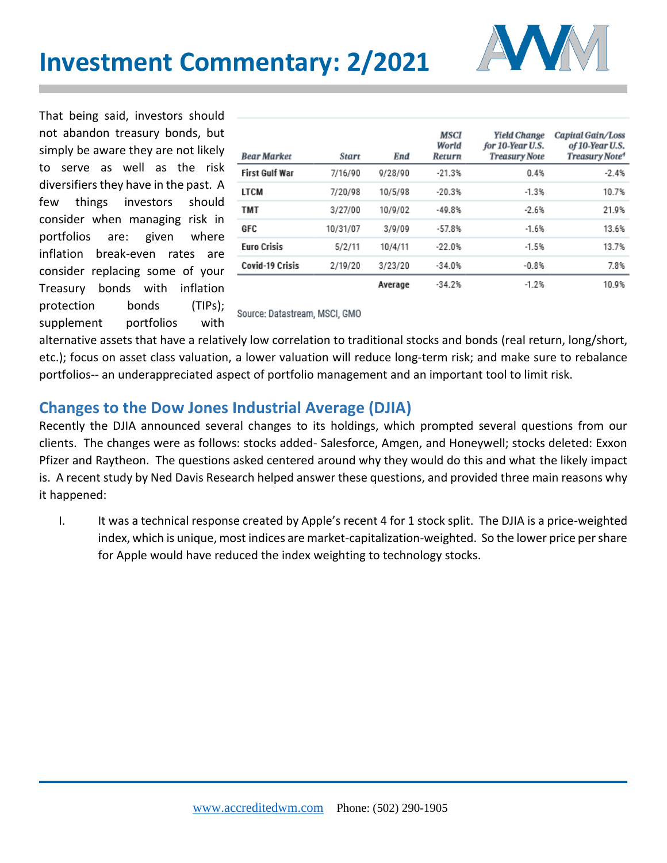

That being said, investors should not abandon treasury bonds, but simply be aware they are not likely to serve as well as the risk diversifiers they have in the past. A few things investors should consider when managing risk in portfolios are: given where inflation break-even rates are consider replacing some of your Treasury bonds with inflation protection bonds (TIPs); supplement portfolios with

| <b>Bear Market</b>     | <b>Start</b> | <b>End</b> | MSCI<br>World<br>Return | <b>Yield Change</b><br>for 10-Year U.S.<br><b>Treasury Note</b> | Capital Gain/Loss<br>of 10-Year U.S.<br>Treasury Note <sup>4</sup> |
|------------------------|--------------|------------|-------------------------|-----------------------------------------------------------------|--------------------------------------------------------------------|
| <b>First Gulf War</b>  | 7/16/90      | 9/28/90    | $-21.3%$                | 0.4%                                                            | $-2.4%$                                                            |
| LTCM                   | 7/20/98      | 10/5/98    | $-20.3%$                | $-1.3%$                                                         | 10.7%                                                              |
| <b>TMT</b>             | 3/27/00      | 10/9/02    | $-49.8%$                | $-2.6%$                                                         | 21.9%                                                              |
| GFC                    | 10/31/07     | 3/9/09     | $-57.8%$                | $-1.6%$                                                         | 13.6%                                                              |
| <b>Euro Crisis</b>     | 5/2/11       | 10/4/11    | $-22.0%$                | $-1.5%$                                                         | 13.7%                                                              |
| <b>Covid-19 Crisis</b> | 2/19/20      | 3/23/20    | $-34.0%$                | $-0.8%$                                                         | 7.8%                                                               |
|                        |              | Average    | $-34.2%$                | $-1.2%$                                                         | 10.9%                                                              |

Source: Datastream, MSCI, GMO

alternative assets that have a relatively low correlation to traditional stocks and bonds (real return, long/short, etc.); focus on asset class valuation, a lower valuation will reduce long-term risk; and make sure to rebalance portfolios-- an underappreciated aspect of portfolio management and an important tool to limit risk.

## **Changes to the Dow Jones Industrial Average (DJIA)**

Recently the DJIA announced several changes to its holdings, which prompted several questions from our clients. The changes were as follows: stocks added- Salesforce, Amgen, and Honeywell; stocks deleted: Exxon Pfizer and Raytheon. The questions asked centered around why they would do this and what the likely impact is. A recent study by Ned Davis Research helped answer these questions, and provided three main reasons why it happened:

I. It was a technical response created by Apple's recent 4 for 1 stock split. The DJIA is a price-weighted index, which is unique, most indices are market-capitalization-weighted. So the lower price per share for Apple would have reduced the index weighting to technology stocks.